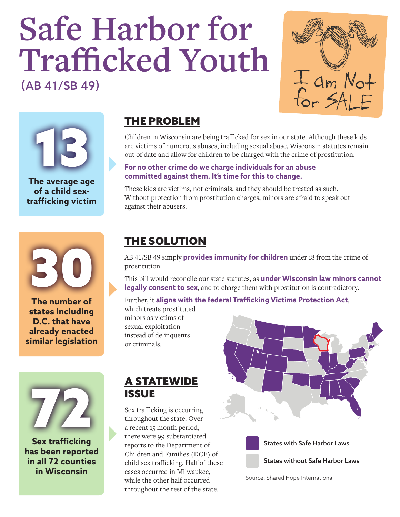# **Safe Harbor for Trafficked Youth** (AB 41/SB 49)

I am Not<br>for SALF



**The average age of a child sextrafficking victim**



**The number of states including D.C. that have already enacted similar legislation**



**Sex trafficking has been reported in all 72 counties in Wisconsin**

#### THE PROBLEM

Children in Wisconsin are being trafficked for sex in our state. Although these kids are victims of numerous abuses, including sexual abuse, Wisconsin statutes remain out of date and allow for children to be charged with the crime of prostitution.

#### **For no other crime do we charge individuals for an abuse committed against them. It's time for this to change.**

These kids are victims, not criminals, and they should be treated as such. Without protection from prostitution charges, minors are afraid to speak out against their abusers.

#### THE SOLUTION

AB 41/SB 49 simply **provides immunity for children** under 18 from the crime of prostitution.

This bill would reconcile our state statutes, as **under Wisconsin law minors cannot legally consent to sex**, and to charge them with prostitution is contradictory.

Further, it **aligns with the federal Trafficking Victims Protection Act**,

which treats prostituted minors as victims of sexual exploitation instead of delinquents or criminals.

#### A STATEWIDE **ISSUE**

Sex trafficking is occurring throughout the state. Over a recent 15 month period, there were 99 substantiated reports to the Department of Children and Families (DCF) of child sex trafficking. Half of these cases occurred in Milwaukee, while the other half occurred throughout the rest of the state.





States with Safe Harbor Laws

States without Safe Harbor Laws

Source: Shared Hope International